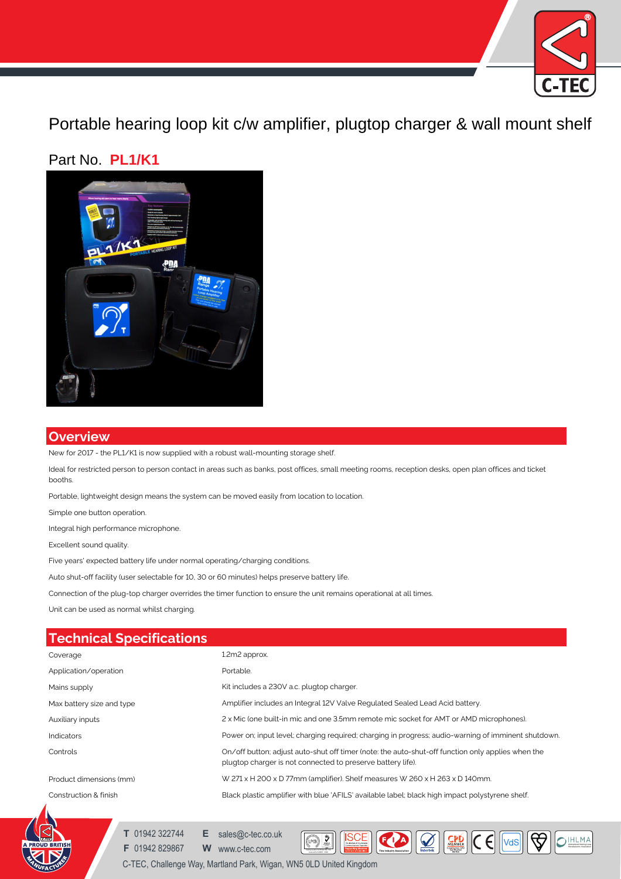

Portable hearing loop kit c/w amplifier, plugtop charger & wall mount shelf

## Part No. **PL1/K1**



## **Overview**

New for 2017 - the PL1/K1 is now supplied with a robust wall-mounting storage shelf.

Ideal for restricted person to person contact in areas such as banks, post offices, small meeting rooms, reception desks, open plan offices and ticket booths.

Portable, lightweight design means the system can be moved easily from location to location.

Simple one button operation.

Integral high performance microphone.

Excellent sound quality.

Five years' expected battery life under normal operating/charging conditions.

Auto shut-off facility (user selectable for 10, 30 or 60 minutes) helps preserve battery life.

Connection of the plug-top charger overrides the timer function to ensure the unit remains operational at all times.

Unit can be used as normal whilst charging.

## **Technical Specifications**

| Coverage                  | 1.2m2 approx.                                                                                                                                                    |
|---------------------------|------------------------------------------------------------------------------------------------------------------------------------------------------------------|
| Application/operation     | Portable.                                                                                                                                                        |
| Mains supply              | Kit includes a 230V a.c. plugtop charger.                                                                                                                        |
| Max battery size and type | Amplifier includes an Integral 12V Valve Regulated Sealed Lead Acid battery.                                                                                     |
| Auxiliary inputs          | 2 x Mic (one built-in mic and one 3.5mm remote mic socket for AMT or AMD microphones).                                                                           |
| Indicators                | Power on; input level; charging required; charging in progress; audio-warning of imminent shutdown.                                                              |
| Controls                  | On/off button; adjust auto-shut off timer (note: the auto-shut-off function only applies when the<br>plugtop charger is not connected to preserve battery life). |
| Product dimensions (mm)   | W 271 x H 200 x D 77mm (amplifier). Shelf measures W 260 x H 263 x D 140mm.                                                                                      |
| Construction & finish     | Black plastic amplifier with blue 'AFILS' available label; black high impact polystyrene shelf.                                                                  |

**MANAGEMENT SYSTEMS**

**ISCE** 

 $\fbox{ \begin{tabular}{|c|c|c|c|c|} \hline & \multicolumn{3}{|c|}{\textbf{}} & \multicolumn{3}{|c|}{\textbf{}} & \multicolumn{3}{|c|}{\textbf{}} & \multicolumn{3}{|c|}{\textbf{}} & \multicolumn{3}{|c|}{\textbf{}} & \multicolumn{3}{|c|}{\textbf{}} & \multicolumn{3}{|c|}{\textbf{}} & \multicolumn{3}{|c|}{\textbf{}} & \multicolumn{3}{|c|}{\textbf{}} & \multicolumn{3}{|c|}{\textbf{}} & \multicolumn{3}{|c|}{\textbf{}} & \multicolumn{3}{|$ 



**T** 01942 322744 **E** sales@c-tec.co.uk

**F** 01942 829867 **W** www.c-tec.com Quality System Certificate No: 176

C-TEC, Challenge Way, Martland Park, Wigan, WN5 0LD United Kingdom